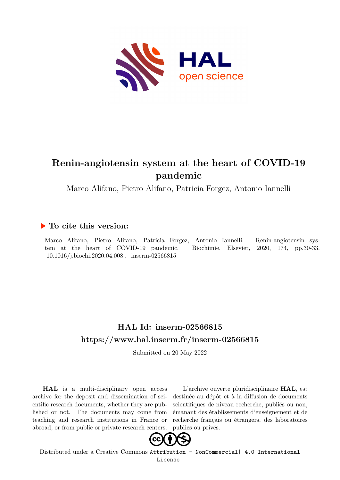

# **Renin-angiotensin system at the heart of COVID-19 pandemic**

Marco Alifano, Pietro Alifano, Patricia Forgez, Antonio Iannelli

# **To cite this version:**

Marco Alifano, Pietro Alifano, Patricia Forgez, Antonio Iannelli. Renin-angiotensin system at the heart of COVID-19 pandemic. Biochimie, Elsevier, 2020, 174, pp.30-33.  $10.1016/j.biochi.2020.04.008$ . inserm-02566815

# **HAL Id: inserm-02566815 <https://www.hal.inserm.fr/inserm-02566815>**

Submitted on 20 May 2022

**HAL** is a multi-disciplinary open access archive for the deposit and dissemination of scientific research documents, whether they are published or not. The documents may come from teaching and research institutions in France or abroad, or from public or private research centers.

L'archive ouverte pluridisciplinaire **HAL**, est destinée au dépôt et à la diffusion de documents scientifiques de niveau recherche, publiés ou non, émanant des établissements d'enseignement et de recherche français ou étrangers, des laboratoires publics ou privés.



Distributed under a Creative Commons [Attribution - NonCommercial| 4.0 International](http://creativecommons.org/licenses/by-nc/4.0/) [License](http://creativecommons.org/licenses/by-nc/4.0/)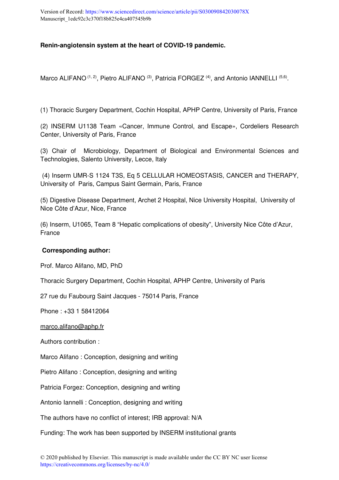# **Renin-angiotensin system at the heart of COVID-19 pandemic.**

Marco ALIFANO  $(1, 2)$ , Pietro ALIFANO  $(3)$ , Patricia FORGEZ  $(4)$ , and Antonio IANNELLI  $(5, 6)$ .

(1) Thoracic Surgery Department, Cochin Hospital, APHP Centre, University of Paris, France

(2) INSERM U1138 Team «Cancer, Immune Control, and Escape», Cordeliers Research Center, University of Paris, France

(3) Chair of Microbiology, Department of Biological and Environmental Sciences and Technologies, Salento University, Lecce, Italy

 (4) Inserm UMR-S 1124 T3S, Eq 5 CELLULAR HOMEOSTASIS, CANCER and THERAPY, University of Paris, Campus Saint Germain, Paris, France

(5) Digestive Disease Department, Archet 2 Hospital, Nice University Hospital, University of Nice Côte d'Azur, Nice, France

(6) Inserm, U1065, Team 8 "Hepatic complications of obesity", University Nice Côte d'Azur, France

### **Corresponding author:**

Prof. Marco Alifano, MD, PhD

Thoracic Surgery Department, Cochin Hospital, APHP Centre, University of Paris

27 rue du Faubourg Saint Jacques - 75014 Paris, France

Phone : +33 1 58412064

marco.alifano@aphp.fr

Authors contribution :

Marco Alifano : Conception, designing and writing

Pietro Alifano : Conception, designing and writing

Patricia Forgez: Conception, designing and writing

Antonio Iannelli : Conception, designing and writing

The authors have no conflict of interest; IRB approval: N/A

Funding: The work has been supported by INSERM institutional grants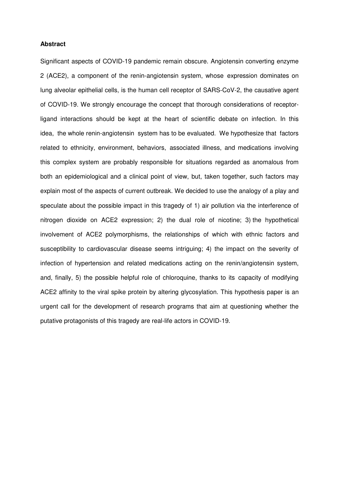#### **Abstract**

Significant aspects of COVID-19 pandemic remain obscure. Angiotensin converting enzyme 2 (ACE2), a component of the renin-angiotensin system, whose expression dominates on lung alveolar epithelial cells, is the human cell receptor of SARS-CoV-2, the causative agent of COVID-19. We strongly encourage the concept that thorough considerations of receptorligand interactions should be kept at the heart of scientific debate on infection. In this idea, the whole renin-angiotensin system has to be evaluated. We hypothesize that factors related to ethnicity, environment, behaviors, associated illness, and medications involving this complex system are probably responsible for situations regarded as anomalous from both an epidemiological and a clinical point of view, but, taken together, such factors may explain most of the aspects of current outbreak. We decided to use the analogy of a play and speculate about the possible impact in this tragedy of 1) air pollution via the interference of nitrogen dioxide on ACE2 expression; 2) the dual role of nicotine; 3) the hypothetical involvement of ACE2 polymorphisms, the relationships of which with ethnic factors and susceptibility to cardiovascular disease seems intriguing; 4) the impact on the severity of infection of hypertension and related medications acting on the renin/angiotensin system, and, finally, 5) the possible helpful role of chloroquine, thanks to its capacity of modifying ACE2 affinity to the viral spike protein by altering glycosylation. This hypothesis paper is an urgent call for the development of research programs that aim at questioning whether the putative protagonists of this tragedy are real-life actors in COVID-19.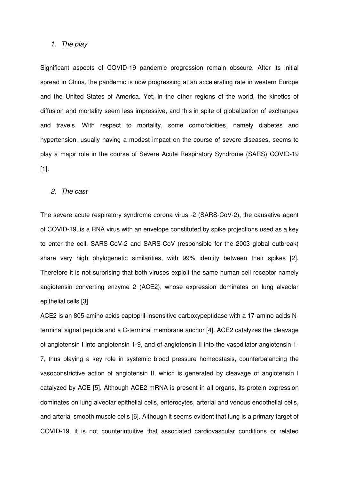#### *1. The play*

Significant aspects of COVID-19 pandemic progression remain obscure. After its initial spread in China, the pandemic is now progressing at an accelerating rate in western Europe and the United States of America. Yet, in the other regions of the world, the kinetics of diffusion and mortality seem less impressive, and this in spite of globalization of exchanges and travels. With respect to mortality, some comorbidities, namely diabetes and hypertension, usually having a modest impact on the course of severe diseases, seems to play a major role in the course of Severe Acute Respiratory Syndrome (SARS) COVID-19 [1].

#### *2. The cast*

The severe acute respiratory syndrome corona virus -2 (SARS-CoV-2), the causative agent of COVID-19, is a RNA virus with an envelope constituted by spike projections used as a key to enter the cell. SARS-CoV-2 and SARS-CoV (responsible for the 2003 global outbreak) share very high phylogenetic similarities, with 99% identity between their spikes [2]. Therefore it is not surprising that both viruses exploit the same human cell receptor namely angiotensin converting enzyme 2 (ACE2), whose expression dominates on lung alveolar epithelial cells [3].

ACE2 is an 805-amino acids captopril-insensitive carboxypeptidase with a 17-amino acids Nterminal signal peptide and a C-terminal membrane anchor [4]. ACE2 catalyzes the cleavage of angiotensin I into angiotensin 1-9, and of angiotensin II into the vasodilator angiotensin 1- 7, thus playing a key role in systemic blood pressure homeostasis, counterbalancing the vasoconstrictive action of angiotensin II, which is generated by cleavage of angiotensin I catalyzed by ACE [5]. Although ACE2 mRNA is present in all organs, its protein expression dominates on lung alveolar epithelial cells, enterocytes, arterial and venous endothelial cells, and arterial smooth muscle cells [6]. Although it seems evident that lung is a primary target of COVID-19, it is not counterintuitive that associated cardiovascular conditions or related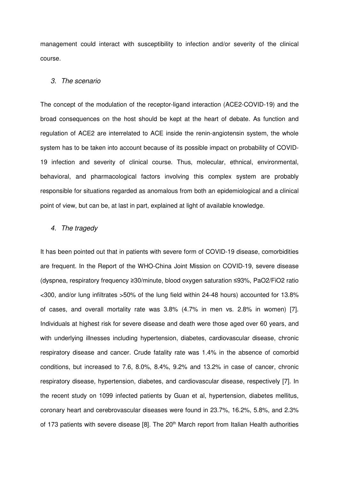management could interact with susceptibility to infection and/or severity of the clinical course.

#### *3. The scenario*

The concept of the modulation of the receptor-ligand interaction (ACE2-COVID-19) and the broad consequences on the host should be kept at the heart of debate. As function and regulation of ACE2 are interrelated to ACE inside the renin-angiotensin system, the whole system has to be taken into account because of its possible impact on probability of COVID-19 infection and severity of clinical course. Thus, molecular, ethnical, environmental, behavioral, and pharmacological factors involving this complex system are probably responsible for situations regarded as anomalous from both an epidemiological and a clinical point of view, but can be, at last in part, explained at light of available knowledge.

#### *4. The tragedy*

It has been pointed out that in patients with severe form of COVID-19 disease, comorbidities are frequent. In the Report of the WHO-China Joint Mission on COVID-19, severe disease (dyspnea, respiratory frequency ≥30/minute, blood oxygen saturation ≤93%, PaO2/FiO2 ratio <300, and/or lung infiltrates >50% of the lung field within 24-48 hours) accounted for 13.8% of cases, and overall mortality rate was 3.8% (4.7% in men vs. 2.8% in women) [7]. Individuals at highest risk for severe disease and death were those aged over 60 years, and with underlying illnesses including hypertension, diabetes, cardiovascular disease, chronic respiratory disease and cancer. Crude fatality rate was 1.4% in the absence of comorbid conditions, but increased to 7.6, 8.0%, 8.4%, 9.2% and 13.2% in case of cancer, chronic respiratory disease, hypertension, diabetes, and cardiovascular disease, respectively [7]. In the recent study on 1099 infected patients by Guan et al, hypertension, diabetes mellitus, coronary heart and cerebrovascular diseases were found in 23.7%, 16.2%, 5.8%, and 2.3% of 173 patients with severe disease [8]. The 20<sup>th</sup> March report from Italian Health authorities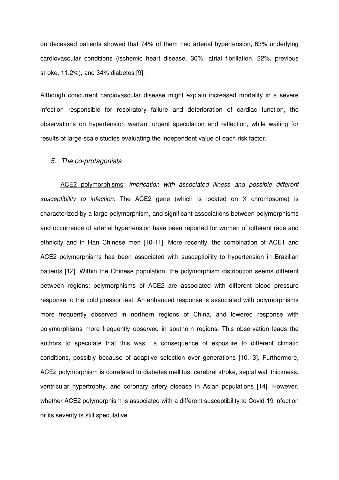on deceased patients showed that 74% of them had arterial hypertension, 63% underlying cardiovascular conditions (ischemic heart disease, 30%, atrial fibrillation, 22%, previous stroke, 11.2%), and 34% diabetes [9].

Although concurrent cardiovascular disease might explain increased mortality in a severe infection responsible for respiratory failure and deterioration of cardiac function, the observations on hypertension warrant urgent speculation and reflection, while waiting for results of large-scale studies evaluating the independent value of each risk factor.

#### *5. The co-protagonists*

 ACE2 polymorphisms: *imbrication with associated illness and possible different susceptibility to infection*. The ACE2 gene (which is located on X chromosome) is characterized by a large polymorphism, and significant associations between polymorphisms and occurrence of arterial hypertension have been reported for women of different race and ethnicity and in Han Chinese men [10-11]. More recently, the combination of ACE1 and ACE2 polymorphisms has been associated with susceptibility to hypertension in Brazilian patients [12]. Within the Chinese population, the polymorphism distribution seems different between regions; polymorphisms of ACE2 are associated with different blood pressure response to the cold pressor test. An enhanced response is associated with polymorphisms more frequently observed in northern regions of China, and lowered response with polymorphisms more frequently observed in southern regions. This observation leads the authors to speculate that this was a consequence of exposure to different climatic conditions, possibly because of adaptive selection over generations [10,13]. Furthermore, ACE2 polymorphism is correlated to diabetes mellitus, cerebral stroke, septal wall thickness, ventricular hypertrophy, and coronary artery disease in Asian populations [14]. However, whether ACE2 polymorphism is associated with a different susceptibility to Covid-19 infection or its severity is still speculative.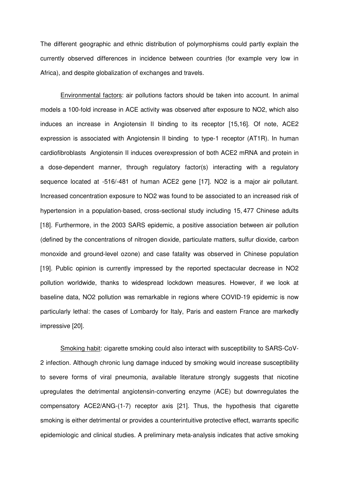The different geographic and ethnic distribution of polymorphisms could partly explain the currently observed differences in incidence between countries (for example very low in Africa), and despite globalization of exchanges and travels.

 Environmental factors: air pollutions factors should be taken into account. In animal models a 100-fold increase in ACE activity was observed after exposure to NO2, which also induces an increase in Angiotensin II binding to its receptor [15,16]. Of note, ACE2 expression is associated with Angiotensin II binding to type-1 receptor (AT1R). In human cardiofibroblasts Angiotensin II induces overexpression of both ACE2 mRNA and protein in a dose-dependent manner, through regulatory factor(s) interacting with a regulatory sequence located at -516/-481 of human ACE2 gene [17]. NO2 is a major air pollutant. Increased concentration exposure to NO2 was found to be associated to an increased risk of hypertension in a population-based, cross-sectional study including 15, 477 Chinese adults [18]. Furthermore, in the 2003 SARS epidemic, a positive association between air pollution (defined by the concentrations of nitrogen dioxide, particulate matters, sulfur dioxide, carbon monoxide and ground-level ozone) and case fatality was observed in Chinese population [19]. Public opinion is currently impressed by the reported spectacular decrease in NO2 pollution worldwide, thanks to widespread lockdown measures. However, if we look at baseline data, NO2 pollution was remarkable in regions where COVID-19 epidemic is now particularly lethal: the cases of Lombardy for Italy, Paris and eastern France are markedly impressive [20].

 Smoking habit: cigarette smoking could also interact with susceptibility to SARS-CoV-2 infection. Although chronic lung damage induced by smoking would increase susceptibility to severe forms of viral pneumonia, available literature strongly suggests that nicotine upregulates the detrimental angiotensin-converting enzyme (ACE) but downregulates the compensatory ACE2/ANG-(1-7) receptor axis [21]. Thus, the hypothesis that cigarette smoking is either detrimental or provides a counterintuitive protective effect, warrants specific epidemiologic and clinical studies. A preliminary meta-analysis indicates that active smoking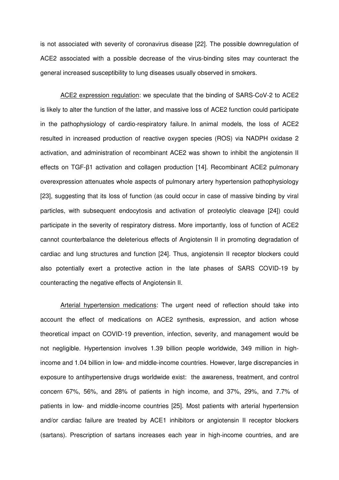is not associated with severity of coronavirus disease [22]. The possible downregulation of ACE2 associated with a possible decrease of the virus-binding sites may counteract the general increased susceptibility to lung diseases usually observed in smokers.

 ACE2 expression regulation: we speculate that the binding of SARS-CoV-2 to ACE2 is likely to alter the function of the latter, and massive loss of ACE2 function could participate in the pathophysiology of cardio-respiratory failure. In animal models, the loss of ACE2 resulted in increased production of reactive oxygen species (ROS) via NADPH oxidase 2 activation, and administration of recombinant ACE2 was shown to inhibit the angiotensin II effects on TGF-β1 activation and collagen production [14]. Recombinant ACE2 pulmonary overexpression attenuates whole aspects of pulmonary artery hypertension pathophysiology [23], suggesting that its loss of function (as could occur in case of massive binding by viral particles, with subsequent endocytosis and activation of proteolytic cleavage [24]) could participate in the severity of respiratory distress. More importantly, loss of function of ACE2 cannot counterbalance the deleterious effects of Angiotensin II in promoting degradation of cardiac and lung structures and function [24]. Thus, angiotensin II receptor blockers could also potentially exert a protective action in the late phases of SARS COVID-19 by counteracting the negative effects of Angiotensin II.

 Arterial hypertension medications: The urgent need of reflection should take into account the effect of medications on ACE2 synthesis, expression, and action whose theoretical impact on COVID-19 prevention, infection, severity, and management would be not negligible. Hypertension involves 1.39 billion people worldwide, 349 million in highincome and 1.04 billion in low- and middle-income countries. However, large discrepancies in exposure to antihypertensive drugs worldwide exist: the awareness, treatment, and control concern 67%, 56%, and 28% of patients in high income, and 37%, 29%, and 7.7% of patients in low- and middle-income countries [25]. Most patients with arterial hypertension and/or cardiac failure are treated by ACE1 inhibitors or angiotensin II receptor blockers (sartans). Prescription of sartans increases each year in high-income countries, and are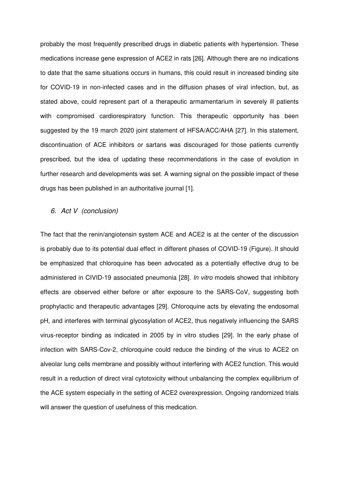probably the most frequently prescribed drugs in diabetic patients with hypertension. These medications increase gene expression of ACE2 in rats [26]. Although there are no indications to date that the same situations occurs in humans, this could result in increased binding site for COVID-19 in non-infected cases and in the diffusion phases of viral infection, but, as stated above, could represent part of a therapeutic armamentarium in severely ill patients with compromised cardiorespiratory function. This therapeutic opportunity has been suggested by the 19 march 2020 joint statement of HFSA/ACC/AHA [27]. In this statement, discontinuation of ACE inhibitors or sartans was discouraged for those patients currently prescribed, but the idea of updating these recommendations in the case of evolution in further research and developments was set. A warning signal on the possible impact of these drugs has been published in an authoritative journal [1].

# *6. Act V (conclusion)*

The fact that the renin/angiotensin system ACE and ACE2 is at the center of the discussion is probably due to its potential dual effect in different phases of COVID-19 (Figure). It should be emphasized that chloroquine has been advocated as a potentially effective drug to be administered in CIVID-19 associated pneumonia [28]. *In vitro* models showed that inhibitory effects are observed either before or after exposure to the SARS-CoV, suggesting both prophylactic and therapeutic advantages [29]. Chloroquine acts by elevating the endosomal pH, and interferes with terminal glycosylation of ACE2, thus negatively influencing the SARS virus-receptor binding as indicated in 2005 by in vitro studies [29]. In the early phase of infection with SARS-Cov-2, chloroquine could reduce the binding of the virus to ACE2 on alveolar lung cells membrane and possibly without interfering with ACE2 function. This would result in a reduction of direct viral cytotoxicity without unbalancing the complex equilibrium of the ACE system especially in the setting of ACE2 overexpression. Ongoing randomized trials will answer the question of usefulness of this medication.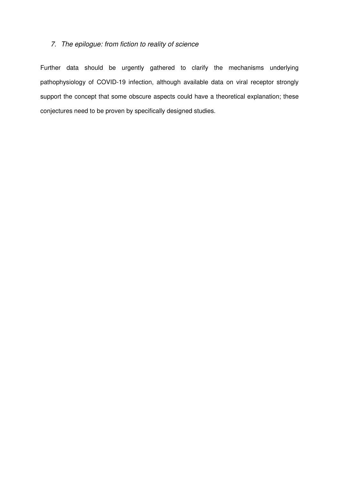# *7. The epilogue: from fiction to reality of science*

Further data should be urgently gathered to clarify the mechanisms underlying pathophysiology of COVID-19 infection, although available data on viral receptor strongly support the concept that some obscure aspects could have a theoretical explanation; these conjectures need to be proven by specifically designed studies.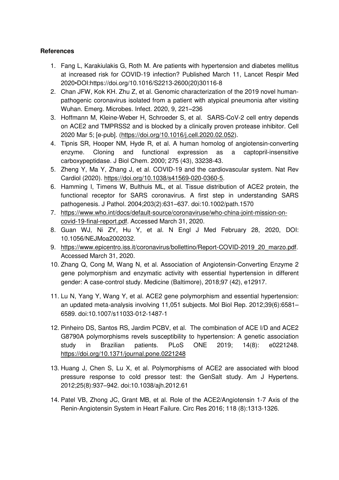# **References**

- 1. Fang L, Karakiulakis G, Roth M. Are patients with hypertension and diabetes mellitus at increased risk for COVID-19 infection? Published March 11, Lancet Respir Med 2020•DOI:https://doi.org/10.1016/S2213-2600(20)30116-8
- 2. Chan JFW, Kok KH. Zhu Z, et al. Genomic characterization of the 2019 novel humanpathogenic coronavirus isolated from a patient with atypical pneumonia after visiting Wuhan. Emerg. Microbes. Infect. 2020, 9, 221–236
- 3. Hoffmann M, Kleine-Weber H, Schroeder S, et al. SARS-CoV-2 cell entry depends on ACE2 and TMPRSS2 and is blocked by a clinically proven protease inhibitor. Cell 2020 Mar 5; [e-pub]. (https://doi.org/10.1016/j.cell.2020.02.052).
- 4. Tipnis SR, Hooper NM, Hyde R, et al. A human homolog of angiotensin-converting enzyme. Cloning and functional expression as a captopril-insensitive carboxypeptidase. J Biol Chem. 2000; 275 (43), 33238-43.
- 5. Zheng Y, Ma Y, Zhang J, et al. COVID-19 and the cardiovascular system. Nat Rev Cardiol (2020). https://doi.org/10.1038/s41569-020-0360-5.
- 6. Hamming I, Timens W, Bulthuis ML, et al. Tissue distribution of ACE2 protein, the functional receptor for SARS coronavirus. A first step in understanding SARS pathogenesis. J Pathol. 2004;203(2):631–637. doi:10.1002/path.1570
- 7. https://www.who.int/docs/default-source/coronaviruse/who-china-joint-mission-oncovid-19-final-report.pdf. Accessed March 31, 2020.
- 8. Guan WJ, Ni ZY, Hu Y, et al. N Engl J Med February 28, 2020, DOI: 10.1056/NEJMoa2002032.
- 9. https://www.epicentro.iss.it/coronavirus/bollettino/Report-COVID-2019\_20\_marzo.pdf. Accessed March 31, 2020.
- 10. Zhang Q, Cong M, Wang N, et al. Association of Angiotensin-Converting Enzyme 2 gene polymorphism and enzymatic activity with essential hypertension in different gender: A case-control study. Medicine (Baltimore), 2018;97 (42), e12917.
- 11. Lu N, Yang Y, Wang Y, et al. ACE2 gene polymorphism and essential hypertension: an updated meta-analysis involving 11,051 subjects. Mol Biol Rep. 2012;39(6):6581– 6589. doi:10.1007/s11033-012-1487-1
- 12. Pinheiro DS, Santos RS, Jardim PCBV, et al. The combination of ACE I/D and ACE2 G8790A polymorphisms revels susceptibility to hypertension: A genetic association study in Brazilian patients. PLoS ONE 2019; 14(8): e0221248. https://doi.org/10.1371/journal.pone.0221248
- 13. Huang J, Chen S, Lu X, et al. Polymorphisms of ACE2 are associated with blood pressure response to cold pressor test: the GenSalt study. Am J Hypertens. 2012;25(8):937–942. doi:10.1038/ajh.2012.61
- 14. Patel VB, Zhong JC, Grant MB, et al. Role of the ACE2/Angiotensin 1-7 Axis of the Renin-Angiotensin System in Heart Failure. Circ Res 2016; 118 (8):1313-1326.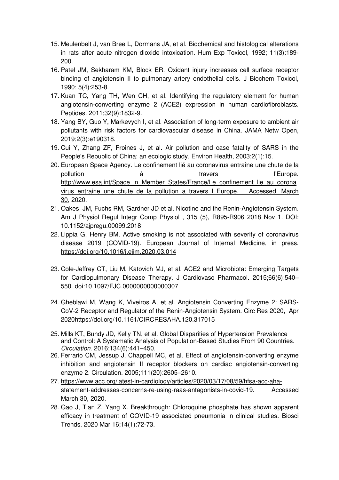- 15. Meulenbelt J, van Bree L, Dormans JA, et al. Biochemical and histological alterations in rats after acute nitrogen dioxide intoxication. Hum Exp Toxicol, 1992; 11(3):189- 200.
- 16. Patel JM, Sekharam KM, Block ER. Oxidant injury increases cell surface receptor binding of angiotensin II to pulmonary artery endothelial cells. J Biochem Toxicol, 1990; 5(4):253-8.
- 17. Kuan TC, Yang TH, Wen CH, et al. Identifying the regulatory element for human angiotensin-converting enzyme 2 (ACE2) expression in human cardiofibroblasts. Peptides. 2011;32(9):1832-9.
- 18. Yang BY, Guo Y, Markevych I, et al. Association of long-term exposure to ambient air pollutants with risk factors for cardiovascular disease in China. JAMA Netw Open, 2019;2(3):e190318.
- 19. Cui Y, Zhang ZF, Froines J, et al. Air pollution and case fatality of SARS in the People's Republic of China: an ecologic study. Environ Health, 2003;2(1):15.
- 20. European Space Agency. Le confinement lié au coronavirus entraîne une chute de la pollution a de la contravers de l'Europe. http://www.esa.int/Space\_in\_Member\_States/France/Le\_confinement\_lie\_au\_corona virus entraine une chute de la pollution a travers I Europe. Accessed March 30, 2020.
- 21. Oakes JM, Fuchs RM, Gardner JD et al. Nicotine and the Renin-Angiotensin System. Am J Physiol Regul Integr Comp Physiol , 315 (5), R895-R906 2018 Nov 1. DOI: 10.1152/ajpregu.00099.2018
- 22. Lippia G, Henry BM. Active smoking is not associated with severity of coronavirus disease 2019 (COVID-19). European Journal of Internal Medicine, in press. https://doi.org/10.1016/j.ejim.2020.03.014
- 23. Cole-Jeffrey CT, Liu M, Katovich MJ, et al. ACE2 and Microbiota: Emerging Targets for Cardiopulmonary Disease Therapy. J Cardiovasc Pharmacol. 2015;66(6):540– 550. doi:10.1097/FJC.0000000000000307
- 24. Gheblawi M, Wang K, Viveiros A, et al. Angiotensin Converting Enzyme 2: SARS-CoV-2 Receptor and Regulator of the Renin-Angiotensin System. Circ Res 2020, Apr 2020https://doi.org/10.1161/CIRCRESAHA.120.317015
- 25. Mills KT, Bundy JD, Kelly TN, et al. Global Disparities of Hypertension Prevalence and Control: A Systematic Analysis of Population-Based Studies From 90 Countries. *Circulation*. 2016;134(6):441–450.
- 26. Ferrario CM, Jessup J, Chappell MC, et al. Effect of angiotensin-converting enzyme inhibition and angiotensin II receptor blockers on cardiac angiotensin-converting enzyme 2. Circulation. 2005;111(20):2605–2610.
- 27. https://www.acc.org/latest-in-cardiology/articles/2020/03/17/08/59/hfsa-acc-ahastatement-addresses-concerns-re-using-raas-antagonists-in-covid-19. Accessed March 30, 2020.
- 28. Gao J, Tian Z, Yang X. Breakthrough: Chloroquine phosphate has shown apparent efficacy in treatment of COVID-19 associated pneumonia in clinical studies. Biosci Trends. 2020 Mar 16;14(1):72-73.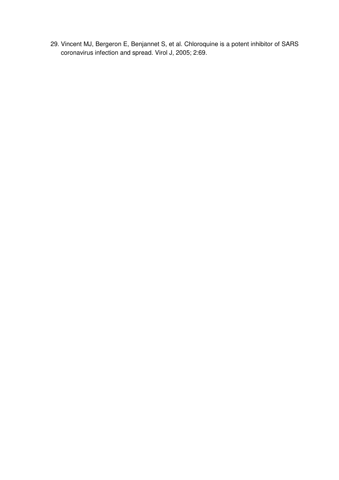29. Vincent MJ, Bergeron E, Benjannet S, et al. Chloroquine is a potent inhibitor of SARS coronavirus infection and spread. Virol J, 2005; 2:69.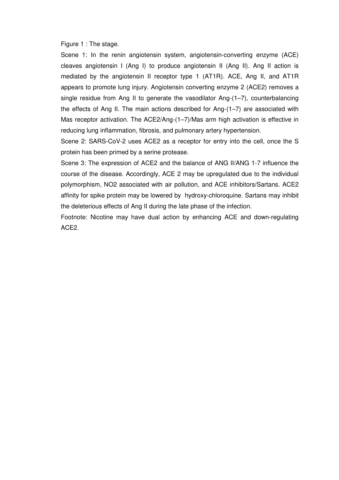Figure 1 : The stage.

Scene 1: In the renin angiotensin system, angiotensin-converting enzyme (ACE) cleaves angiotensin I (Ang I) to produce angiotensin II (Ang II). Ang II action is mediated by the angiotensin II receptor type 1 (AT1R). ACE, Ang II, and AT1R appears to promote lung injury. Angiotensin converting enzyme 2 (ACE2) removes a single residue from Ang II to generate the vasodilator Ang-(1–7), counterbalancing the effects of Ang II. The main actions described for Ang-(1–7) are associated with Mas receptor activation. The ACE2/Ang-(1–7)/Mas arm high activation is effective in reducing lung inflammation, fibrosis, and pulmonary artery hypertension.

Scene 2: SARS-CoV-2 uses ACE2 as a receptor for entry into the cell, once the S protein has been primed by a serine protease.

Scene 3: The expression of ACE2 and the balance of ANG II/ANG 1-7 influence the course of the disease. Accordingly, ACE 2 may be upregulated due to the individual polymorphism, NO2 associated with air pollution, and ACE inhibitors/Sartans. ACE2 affinity for spike protein may be lowered by hydroxy-chloroquine. Sartans may inhibit the deleterious effects of Ang II during the late phase of the infection.

Footnote: Nicotine may have dual action by enhancing ACE and down-regulating ACE2.